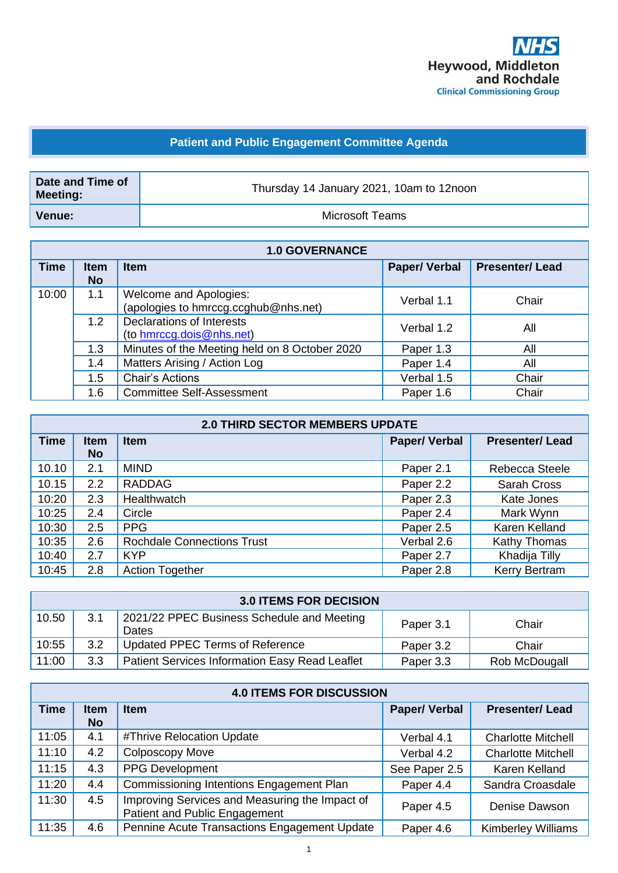

## **Patient and Public Engagement Committee Agenda**

| Date and Time of<br><b>Meeting:</b> | Thursday 14 January 2021, 10am to 12noon |  |
|-------------------------------------|------------------------------------------|--|
| Venue:                              | Microsoft Teams                          |  |

| <b>1.0 GOVERNANCE</b> |                          |                                                                |                     |                       |
|-----------------------|--------------------------|----------------------------------------------------------------|---------------------|-----------------------|
| <b>Time</b>           | <b>Item</b><br><b>No</b> | <b>Item</b>                                                    | <b>Paper/Verbal</b> | <b>Presenter/Lead</b> |
| 10:00                 | 1.1                      | Welcome and Apologies:<br>(apologies to hmrccg.ccghub@nhs.net) | Verbal 1.1          | Chair                 |
|                       | 1.2                      | Declarations of Interests<br>(to hmrccg.dois@nhs.net)          | Verbal 1.2          | All                   |
|                       | 1.3                      | Minutes of the Meeting held on 8 October 2020                  | Paper 1.3           | All                   |
|                       | 1.4                      | Matters Arising / Action Log                                   | Paper 1.4           | All                   |
|                       | 1.5                      | Chair's Actions                                                | Verbal 1.5          | Chair                 |
|                       | 1.6                      | <b>Committee Self-Assessment</b>                               | Paper 1.6           | Chair                 |

| <b>2.0 THIRD SECTOR MEMBERS UPDATE</b> |                          |                                   |                     |                       |
|----------------------------------------|--------------------------|-----------------------------------|---------------------|-----------------------|
| <b>Time</b>                            | <b>Item</b><br><b>No</b> | <b>Item</b>                       | <b>Paper/Verbal</b> | <b>Presenter/Lead</b> |
| 10.10                                  | 2.1                      | <b>MIND</b>                       | Paper 2.1           | Rebecca Steele        |
|                                        |                          |                                   |                     |                       |
| 10.15                                  | 2.2                      | <b>RADDAG</b>                     | Paper 2.2           | <b>Sarah Cross</b>    |
| 10:20                                  | 2.3                      | Healthwatch                       | Paper 2.3           | Kate Jones            |
| 10:25                                  | 2.4                      | Circle                            | Paper 2.4           | Mark Wynn             |
| 10:30                                  | 2.5                      | <b>PPG</b>                        | Paper 2.5           | Karen Kelland         |
| 10:35                                  | 2.6                      | <b>Rochdale Connections Trust</b> | Verbal 2.6          | Kathy Thomas          |
| 10:40                                  | 2.7                      | <b>KYP</b>                        | Paper 2.7           | Khadija Tilly         |
| 10:45                                  | 2.8                      | <b>Action Together</b>            | Paper 2.8           | <b>Kerry Bertram</b>  |

| <b>3.0 ITEMS FOR DECISION</b> |     |                                                       |           |               |
|-------------------------------|-----|-------------------------------------------------------|-----------|---------------|
| 10.50                         | 3.1 | 2021/22 PPEC Business Schedule and Meeting<br>Dates   | Paper 3.1 | Chair         |
| 10:55                         | 3.2 | Updated PPEC Terms of Reference                       | Paper 3.2 | Chair         |
| 11:00                         | 3.3 | <b>Patient Services Information Easy Read Leaflet</b> | Paper 3.3 | Rob McDougall |

| <b>4.0 ITEMS FOR DISCUSSION</b> |                          |                                                                                        |                     |                           |
|---------------------------------|--------------------------|----------------------------------------------------------------------------------------|---------------------|---------------------------|
| <b>Time</b>                     | <b>Item</b><br><b>No</b> | <b>Item</b>                                                                            | <b>Paper/Verbal</b> | <b>Presenter/Lead</b>     |
| 11:05                           | 4.1                      | #Thrive Relocation Update                                                              | Verbal 4.1          | <b>Charlotte Mitchell</b> |
| 11:10                           | 4.2                      | <b>Colposcopy Move</b>                                                                 | Verbal 4.2          | <b>Charlotte Mitchell</b> |
| 11:15                           | 4.3                      | <b>PPG Development</b>                                                                 | See Paper 2.5       | Karen Kelland             |
| 11:20                           | 4.4                      | Commissioning Intentions Engagement Plan                                               | Paper 4.4           | Sandra Croasdale          |
| 11:30                           | 4.5                      | Improving Services and Measuring the Impact of<br><b>Patient and Public Engagement</b> | Paper 4.5           | Denise Dawson             |
| 11:35                           | 4.6                      | Pennine Acute Transactions Engagement Update                                           | Paper 4.6           | <b>Kimberley Williams</b> |